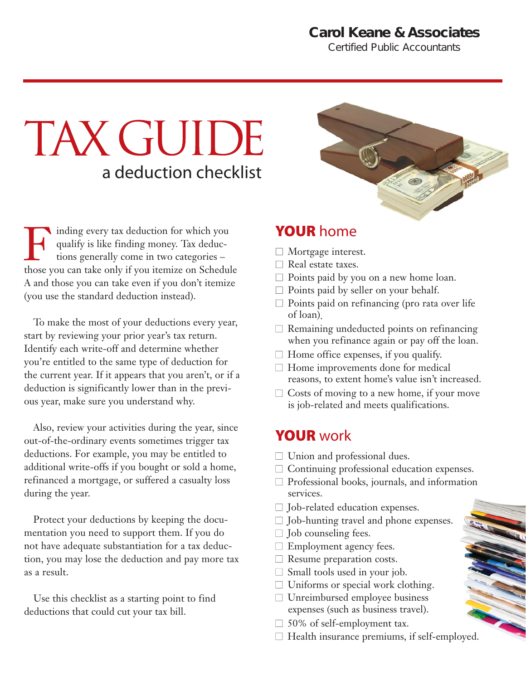#### **Carol Keane & Associates**

*Certified Public Accountants*

# TAX GUIDE a deduction checklist

Finding every tax deduction for which you<br>qualify is like finding money. Tax deduc-<br>tions generally come in two categories –<br>those you can take only if you itemize on Schedu qualify is like finding money. Tax deductions generally come in two categories – those you can take only if you itemize on Schedule A and those you can take even if you don't itemize (you use the standard deduction instead).

To make the most of your deductions every year, start by reviewing your prior year's tax return. Identify each write-off and determine whether you're entitled to the same type of deduction for the current year. If it appears that you aren't, or if a deduction is significantly lower than in the previous year, make sure you understand why.

Also, review your activities during the year, since out-of-the-ordinary events sometimes trigger tax deductions. For example, you may be entitled to additional write-offs if you bought or sold a home, refinanced a mortgage, or suffered a casualty loss during the year.

Protect your deductions by keeping the documentation you need to support them. If you do not have adequate substantiation for a tax deduction, you may lose the deduction and pay more tax as a result.

Use this checklist as a starting point to find deductions that could cut your tax bill.



### YOUR home

- $\Box$  Mortgage interest.
- $\Box$  Real estate taxes.
- $\Box$  Points paid by you on a new home loan.
- $\Box$  Points paid by seller on your behalf.
- $\Box$  Points paid on refinancing (pro rata over life of loan).
- $\Box$  Remaining undeducted points on refinancing when you refinance again or pay off the loan.
- $\Box$  Home office expenses, if you qualify.
- $\Box$  Home improvements done for medical reasons, to extent home's value isn't increased.
- $\Box$  Costs of moving to a new home, if your move is job-related and meets qualifications.

#### YOUR work

- $\Box$  Union and professional dues.
- $\Box$  Continuing professional education expenses.
- $\Box$  Professional books, journals, and information services.
- $\Box$  Job-related education expenses.
- $\Box$  Job-hunting travel and phone expenses.
- $\Box$  Job counseling fees.
- $\Box$  Employment agency fees.
- $\Box$  Resume preparation costs.
- $\Box$  Small tools used in your job.
- $\Box$  Uniforms or special work clothing.
- $\Box$  Unreimbursed employee business expenses (such as business travel).
- $\Box$  50% of self-employment tax.
- $\Box$  Health insurance premiums, if self-employed.